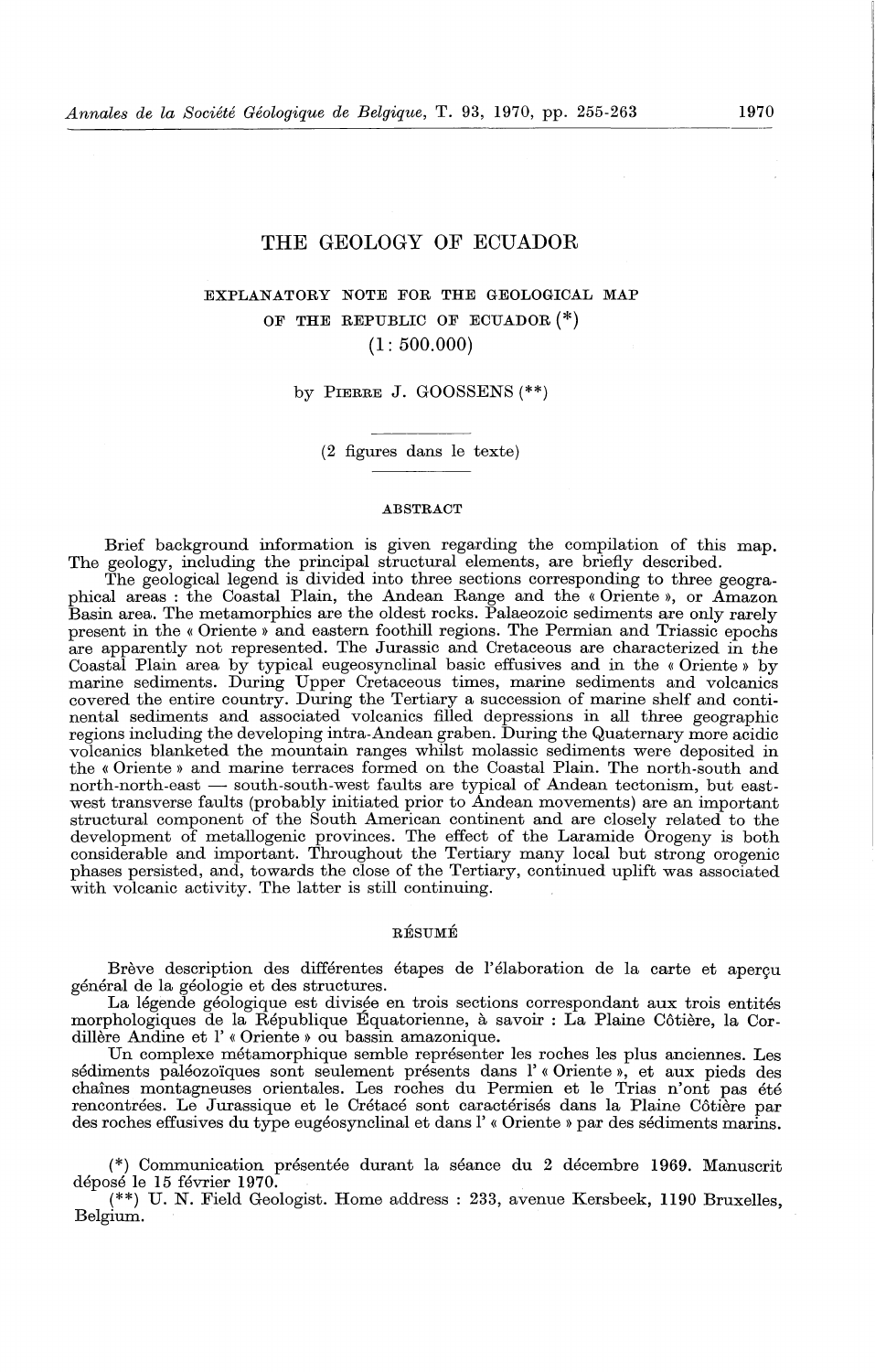# THE GEOLOGY OF ECUADOR

# EXPLANATORY NOTE FOR THE GEOLOGICAL MAP OF THE REPUBLIC OF ECUADOR(\*)  $(1: 500.000)$

#### by PIERRE J. GOOSSENS (\*\*)

( 2 figures dans le texte)

#### ABSTRACT

Brief background information is given regarding the compilation of this map. The geology, including the principal structural elements, are briefly described.

The geological legend is divided into three sections corresponding to three geographical areas : the Coastal Plain, the Andean Range and the « Oriente », or Amazon Basin area. The metamorphics are the oldest rocks. Palaeozoic sediments are only rarely present in the « Oriente » and eastern foothill regions. The Permian and Triassic epochs are apparently not represented. The Jurassic and Cretaceous are characterized in the Coastal Plain area by typical eugeosynclinal basic effusives and in the « Oriente » by marine sediments. During Upper Cretaceous times, marine sediments and volcanics covered the entire country. During the Tertiary a succession of marine shelf and continental sediments and associated volcanics filled depressions in all three geographic regions including the developing intra-Andean graben. During the Quaternary more acidic volcanics blanketed the mountain ranges whilst molassic sediments were deposited in the « Oriente » and marine terraces formed on the Coastal Plain. The north-south and north-north-east - south-south-west faults are typical of Andean tectonism, but eastwest transverse faults (probably initiated prior to Andean movements) are an important structural component of the South American continent and are closely related to the development of metallogenic provinces. The effect of the Laramide Orogeny is both considerable and important. Throughout the Tertiary many local but strong orogenic phases persisted, and, towards the close of the Tertiary, continued uplift was associated with volcanic activity. The latter is still continuing.

## RESUME

Brève description des différentes étapes de l'élaboration de la carte et aperçu général de la géologie et des structures.

La légende géologique est divisée en trois sections correspondant aux trois entités morphologiques de la Republique Equatorienne, a savoir : La Plaine Cotiere, la Cordillère Andine et l' « Oriente » ou bassin amazonique.

Un complexe metamorphique semble representer les roches les plus anciennes. Les sédiments paléozoïques sont seulement présents dans l'« Oriente », et aux pieds des chaines montagneuses orientales. Les roches du Permien et le Trias n'ont pas ete rencontrées. Le Jurassique et le Crétacé sont caractérisés dans la Plaine Côtière par des roches effusives du type eugéosynclinal et dans l'« Oriente » par des sédiments marins.

(\*) Communication présentée durant la séance du 2 décembre 1969. Manuscrit déposé le 15 février 1970.

(\*\*) U. N. Field Geologist. Home address : 233, avenue Kersbeek, 1190 Bruxelles, Belgium.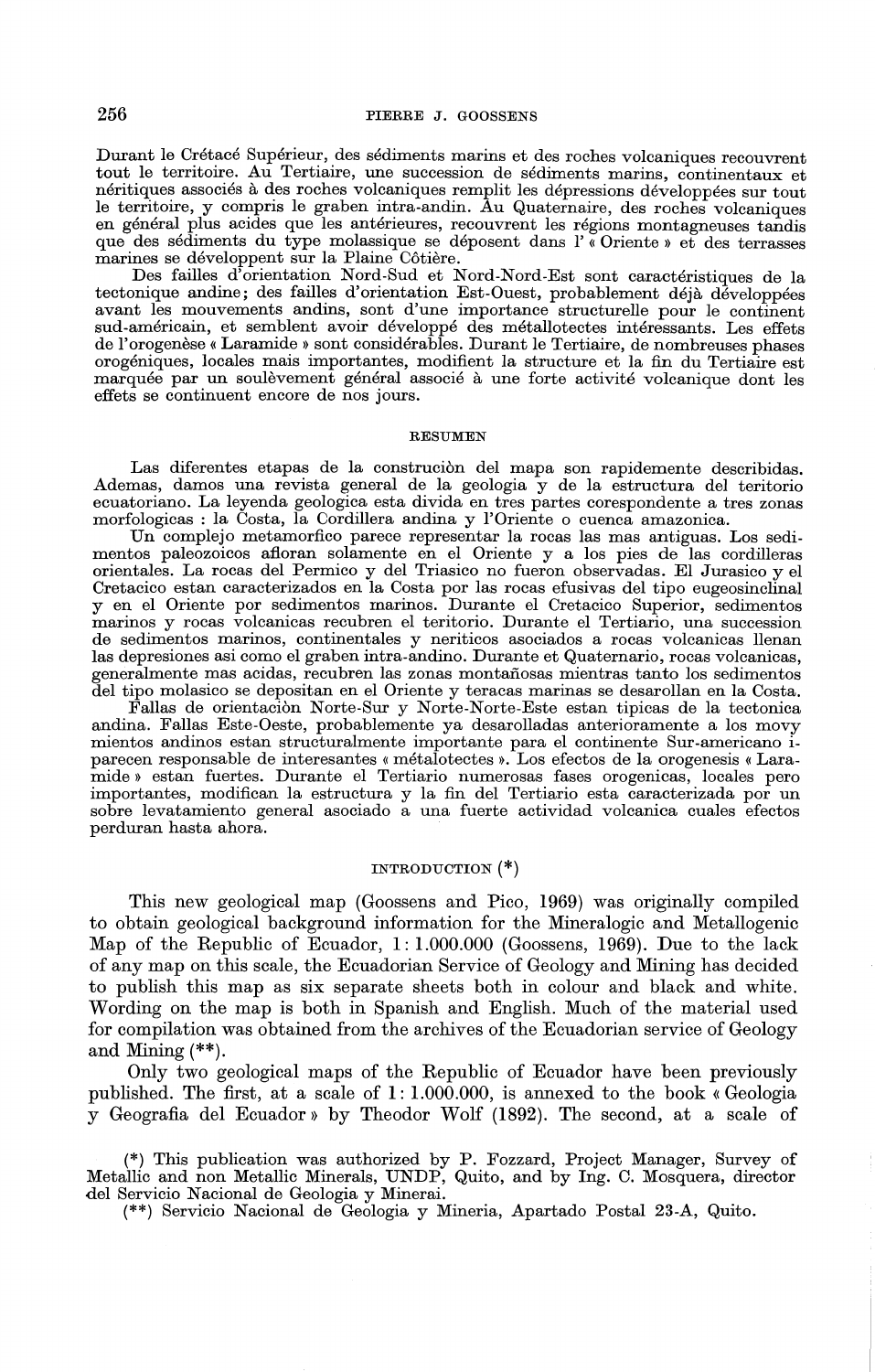Durant le Cretace Superieur, des sediments marins et des roches volcaniques recouvrent tout le territoire. Au Tertiaire, une succession de sediments marins, continentaux et neritiques associes a des roches volcaniques remplit les depressions developpees sur tout le territoire, y compris le graben intra-andin. Au Quaternaire, des roches volcaniques en général plus acides que les antérieures, recouvrent les régions montagneuses tandis que des sediments du type molassique se deposent dans l' « Oriente » et des terrasses marines se developpent sur la Plaine C6tiere.

Des failles d'orientation Nord-Sud et Nord-Nord-Est sont caractéristiques de la tectonique andine; des failles d'orientation Est-Ouest, probablement déjà développées avant les mouvements andins, sont d'une importance structurelle pour le continent sud-américain, et semblent avoir développé des métallotectes intéressants. Les effets de l'orogenese « Laramide » sont considerables. Durant le Tertiaire, de nombreuses phases orogeniques, locales mais importantes, modifient la structure et la fin du Tertiaire est marquée par un soulevement général associé à une forte activité volcanique dont les effets se continuent encore de nos jours.

#### RESUMEN

Las diferentes etapas de la construcion del mapa son rapidemente describidas. Ademas, damos una revista general de la geologia y de la estructura del teritorio ecuatoriano. La leyenda geologica esta divida en tres partes corespondente a tres zonas morfologicas : la Costa, la Cordillera andina y l'Oriente o cuenca amazonica.

Un complejo metamorfico parece representar la rocas las mas antiguas. Los sedimentos paleozoicos afloran solamente en el Oriente y a los pies de las cordilleras orientales. La rocas del Permico y del Triasico no fueron observadas. El Jurasico y el Cretacico estan caracterizados en la Costa por las rocas efusivas del tipo eugeosinclinal y en el Oriente por sedimentos rnarinos. Durante el Cretacico Superior, sedimentos marinos y rocas volcanicas recubren el teritorio. Durante el Tertiario, una succession de sedimentos marinos, continentales y neriticos asociados a rocas volcanicas llenan las depresiones asi como el graben intra-andino. Durante et Quaternario, rocas volcanicas, generalmente mas acidas, recubren las zonas rnontaiiosas mientras tanto los sedimentos del tipo molasico se depositan en el Oriente y teracas marinas se desarollan en la Costa.

Fallas de orientación Norte-Sur y Norte-Norte-Este estan tipicas de la tectonica andina. Fallas Este-Oeste, probablernente ya desarolladas anterioramente a los movy mientos andinos estan structuralmente importante para el continente Sur-americano iparecen responsable de interesantes « metalotectes ». Los efectos de la orogenesis « Laramide » estan fuertes. Durante el Tertiario numerosas fases orogenicas, locales pero importantes, modifican la estructura y la fin del Tertiario esta caracterizada por un sobre levatamiento general asociado a una fuerte actividad volcanica cuales efectos perduran hasta ahora.

## INTRODUCTION (\*)

This new geological map (Goossens and Pico, 1969) was originally compiled to obtain geological background information for the Mineralogic and Metallogenic Map of the Republic of Ecuador, 1: I.OOO.OOO (Goossens, 1969). Due to the lack of any map on this scale, the Ecuadorian Service of Geology and Mining has decided to publish this map as six separate sheets both in colour and black and white. Wording on the map is both in Spanish and English. Much of the material used for compilation was obtained from the archives of the Ecuadorian service of Geology and Mining  $(*^*)$ .

Only two geological maps of the Republic of Ecuador have been previously published. The first, at a scale of 1: I.OOO.OOO, is annexed to the book « Geologia y Geografia del Ecuador» by Theodor Wolf (1892). The second, at a scale of

(\*) This publication was authorized by P. Fozzard, Project Manager, Survey of Metallic and non Metallic Minerals, UNDP, Quito, and by Ing. C. Mosquera, director del Servicio Nacional de Geologia y Minerai.

(\*\*) Servicio Nacional de Geologia y Mineria, Apartado Postal 23-A, Quito.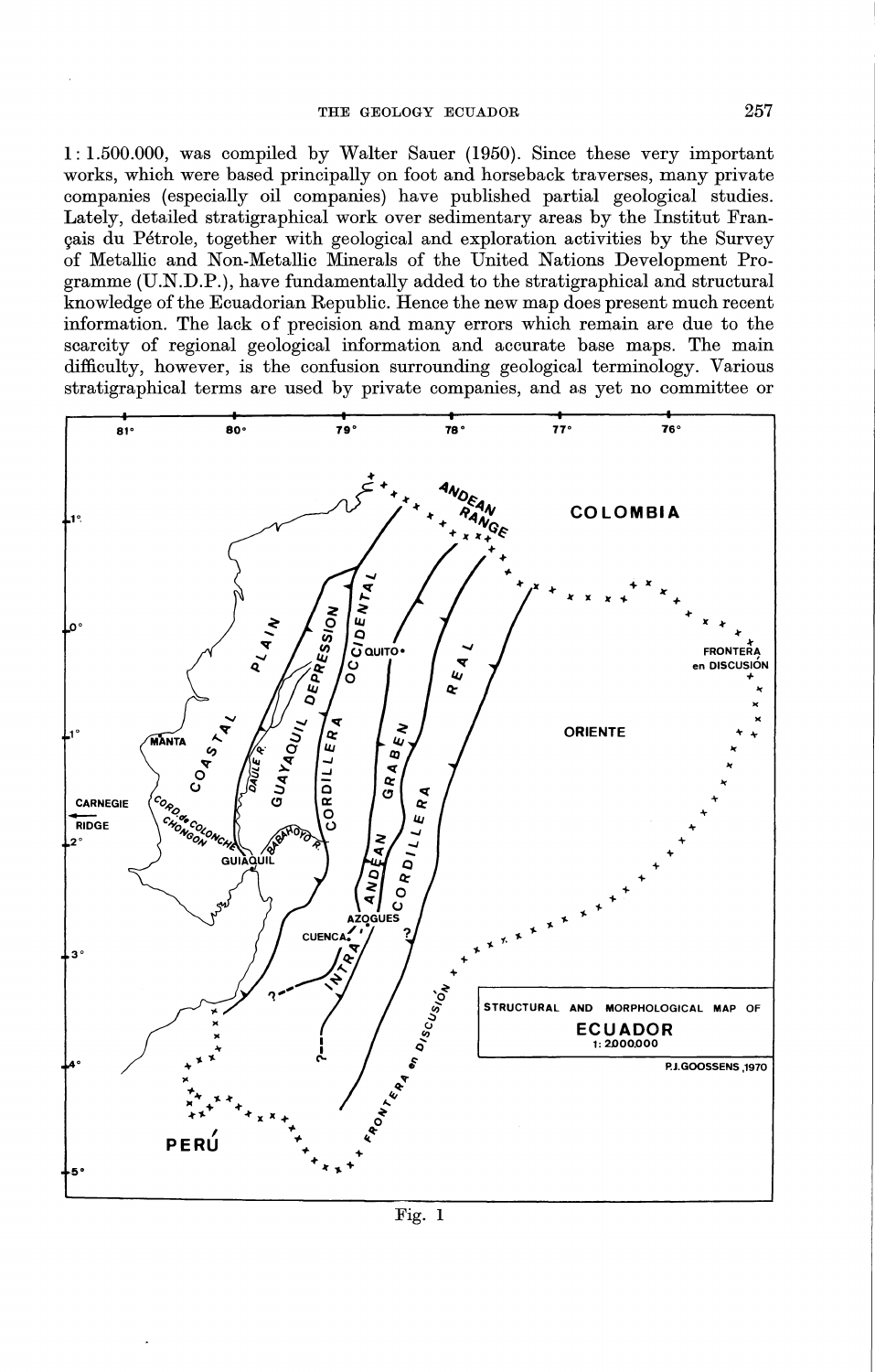$1:1.500.000$ , was compiled by Walter Sauer (1950). Since these very important works, which were based principally on foot and horseback traverses, many private companies (especially oil companies) have published partial geological studies. Lately, detailed stratigraphical work over sedimentary areas by the Institut Français du Pétrole, together with geological and exploration activities by the Survey of Metallic and Non-Metallic Minerals of the United Nations Development Programme (U.N.D.P.), have fundamentally added to the stratigraphical and structural knowledge of the Ecuadorian Republic. Hence the new map does present much recent information. The lack of precision and many errors which remain are due to the scarcity of regional geological information and accurate base maps. The main difficulty, however, is the confusion surrounding geological terminology. Various stratigraphical terms are used by private companies, and as yet no committee or



257

Fig. 1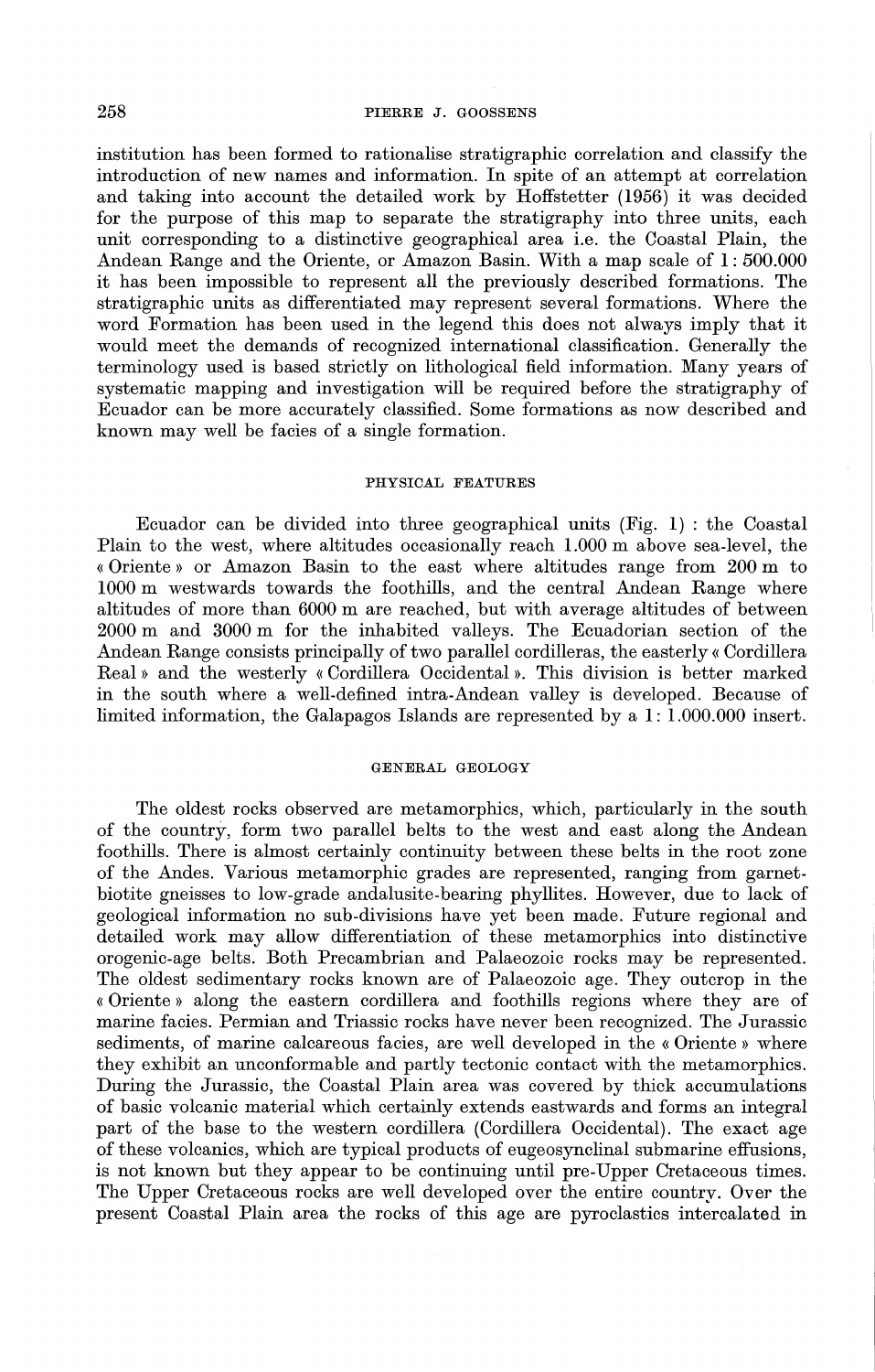institution has been formed to rationalise stratigraphic correlation and classify the introduction of new names and information. In spite of an attempt at correlation and taking into account the detailed work by Hoffstetter (1956) it was decided for the purpose of this map to separate the stratigraphy into three units, each unit corresponding to a distinctive geographical area i.e. the Coastal Plain, the Andean Range and the Oriente, or Amazon Basin. With a map scale of 1 : 500.000 it has been impossible to represent all the previously described formations. The stratigraphic units as differentiated may represent several formations. Where the word Formation has been used in the legend this does not always imply that it would meet the demands of recognized international classification. Generally the terminology used is based strictly on lithological field information. Many years of systematic mapping and investigation will be required before the stratigraphy of Ecuador can be more accurately classified. Some formations as now described and known may well be facies of a single formation.

## PHYSICAL FEATURES

Ecuador can be divided into three geographical units (Fig. 1) : the Coastal Plain to the west, where altitudes occasionally reach 1.000 m above sea-level, the « Oriente » or Amazon Basin to the east where altitudes range from 200 m to 1000 m westwards towards the foothills, and the central Andean Range where altitudes of more than 6000 m are reached, but with average altitudes of between 2000 m and 3000 m for the inhabited valleys. The Ecuadorian section of the Andean Range consists principally of two parallel cordilleras, the easterly« Cordillera Real » and the westerly « Cordillera Occidental ». This division is better marked in the south where a well-defined intra-Andean valley is developed. Because of limited information, the Galapagos Islands are represented by a 1: 1.000.000 insert.

#### GENERAL GEOLOGY

The oldest rocks observed are metamorphics, which, particularly in the south of the country, form two parallel belts to the west and east along the Andean foothills. There is almost certainly continuity between these belts in the root zone of the Andes. Various metamorphic grades are represented, ranging from garnetbiotite gneisses to low-grade andalusite-bearing phyllites. However, due to lack of geological information no sub-divisions have yet been made. Future regional and detailed work may allow differentiation of these metamorphics into distinctive orogenic-age belts. Both Precambrian and Palaeozoic rocks may be represented. The oldest sedimentary rocks known are of Palaeozoic age. They outcrop in the « Oriente » along the eastern cordillera and foothills regions where they are of marine facies. Permian and Triassic rocks have never been recognized. The Jurassic sediments, of marine calcareous facies, are well developed in the « Oriente » where they exhibit an unconformable and partly tectonic contact with the metamorphics. During the Jurassic, the Coastal Plain area was covered by thick accumulations of basic volcanic material which certainly extends eastwards and forms an integral part of the base to the western cordillera (Cordillera Occidental). The exact age of these volcanics, which are typical products of eugeosynclinal submarine effusions, is not known but they appear to be continuing until pre-Upper Cretaceous times. The Upper Cretaceous rocks are well developed over the entire country. Over the present Coastal Plain area the rocks of this age are pyroclastics intercalated in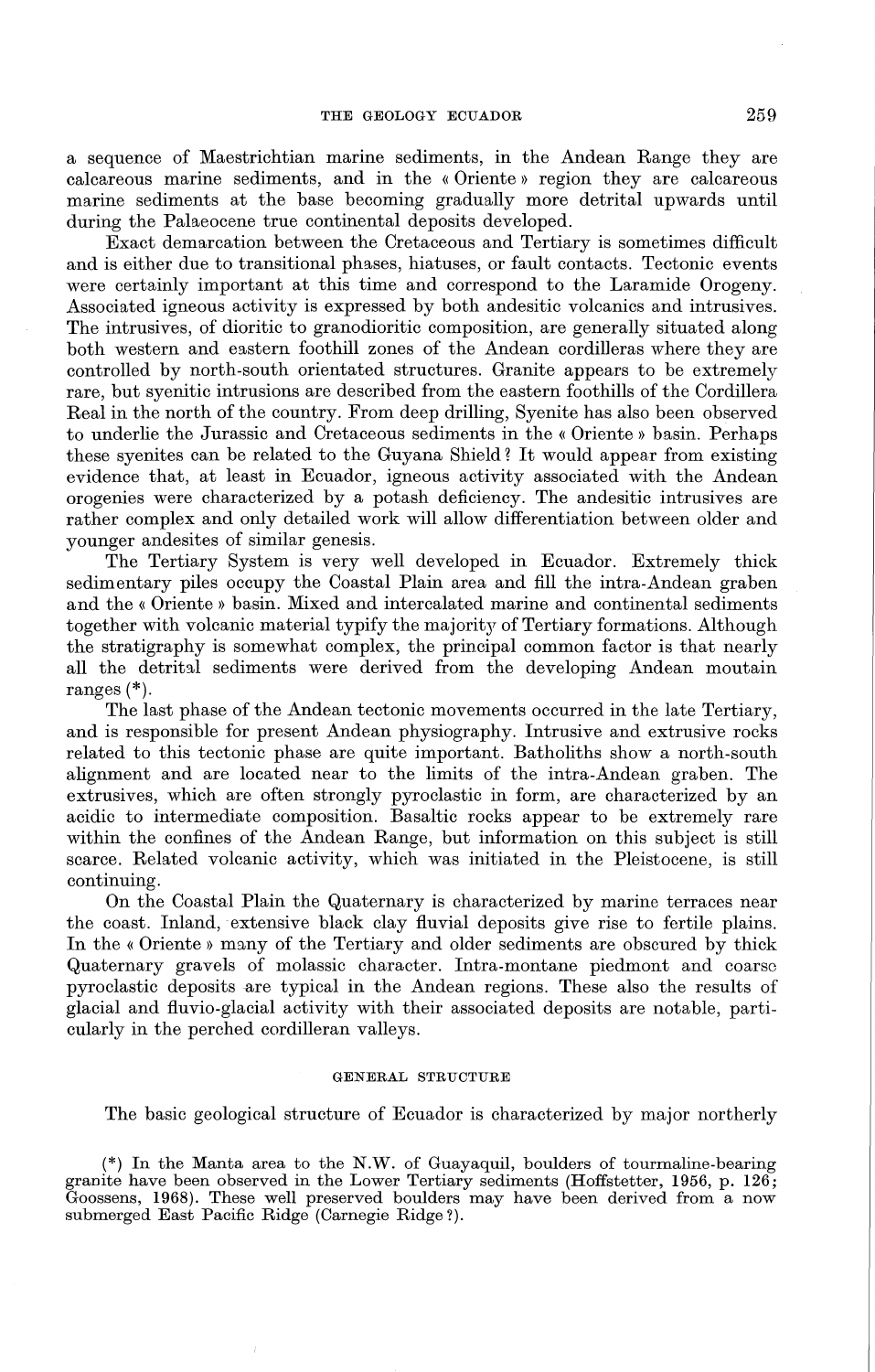a sequence of Maestrichtian marine sediments, in the Andean Range they are calcareous marine sediments, and in the « Oriente » region they are calcareous marine sediments at the base becoming gradually more detrital upwards until during the Palaeocene true continental deposits developed.

Exact demarcation between the Cretaceous and Tertiary is sometimes difficult and is either due to transitional phases, hiatuses, or fault contacts. Tectonic events were certainly important at this time and correspond to the Laramide Orogeny. Associated igneous activity is expressed by both andesitic volcanics and intrusives. The intrusives, of dioritic to granodioritic composition, are generally situated along both western and eastern foothill zones of the Andean cordilleras where they are controlled by north-south orientated structures. Granite appears to be extremely rare, but syenitic intrusions are described from the eastern foothills of the Cordillera Real in the north of the country. From deep drilling, Syenite has also been observed to underlie the Jurassic and Cretaceous sediments in the« Oriente » basin. Perhaps these syenites can be related to the Guyana Shield? It would appear from existing evidence that, at least in Ecuador, igneous activity associated with the Andean orogenies were characterized by a potash deficiency. The andesitic intrusives are rather complex and only detailed work will allow differentiation between older and younger andesites of similar genesis.

The Tertiary System is very well developed in Ecuador. Extremely thick sedimentary piles occupy the Coastal Plain area and fill the intra-Andean graben and the « Oriente » basin. Mixed and intercalated marine and continental sediments together with volcanic material typify the majority of Tertiary formations. Although the stratigraphy is somewhat complex, the principal common factor is that nearly all the detrital sediments were derived from the developing Andean moutain ranges(\*).

The last phase of the Andean tectonic movements occurred in the late Tertiary, and is responsible for present Andean physiography. Intrusive and extrusive rocks related to this tectonic phase are quite important. Batholiths show a north-south alignment and are located near to the limits of the intra-Andean graben. The extrusives, which are often strongly pyroclastic in form, are characterized by an acidic to intermediate composition. Basaltic rocks appear to be extremely rare within the confines of the Andean Range, but information on this subject is still scarce. Related volcanic activity, which was initiated in the Pleistocene, is still continuing.

On the Coastal Plain the Quaternary is characterized by marine terraces near the coast. Inland, extensive black clay fluvial deposits give rise to fertile plains. In the « Oriente » many of the Tertiary and older sediments are obscured by thick Quaternary gravels of molassic character. Intra-montane piedmont and coarse pyroclastic deposits are typical in the Andean regions. These also the results of glacial and fluvio-glacial activity with their associated deposits are notable, particularly in the perched cordilleran valleys.

### GENERAL STRUCTURE

The basic geological structure of Ecuador is characterized by major northerly

(\*) In the Manta area to the N.W. of Guayaquil, boulders of tourmaline-bearing granite have been observed in the Lower Tertiary sediments (Hoffstetter, 1956, p. 126; Goossens, 1968). These well preserved boulders may have been derived from a now submerged East Pacific Ridge (Carnegie Ridge?).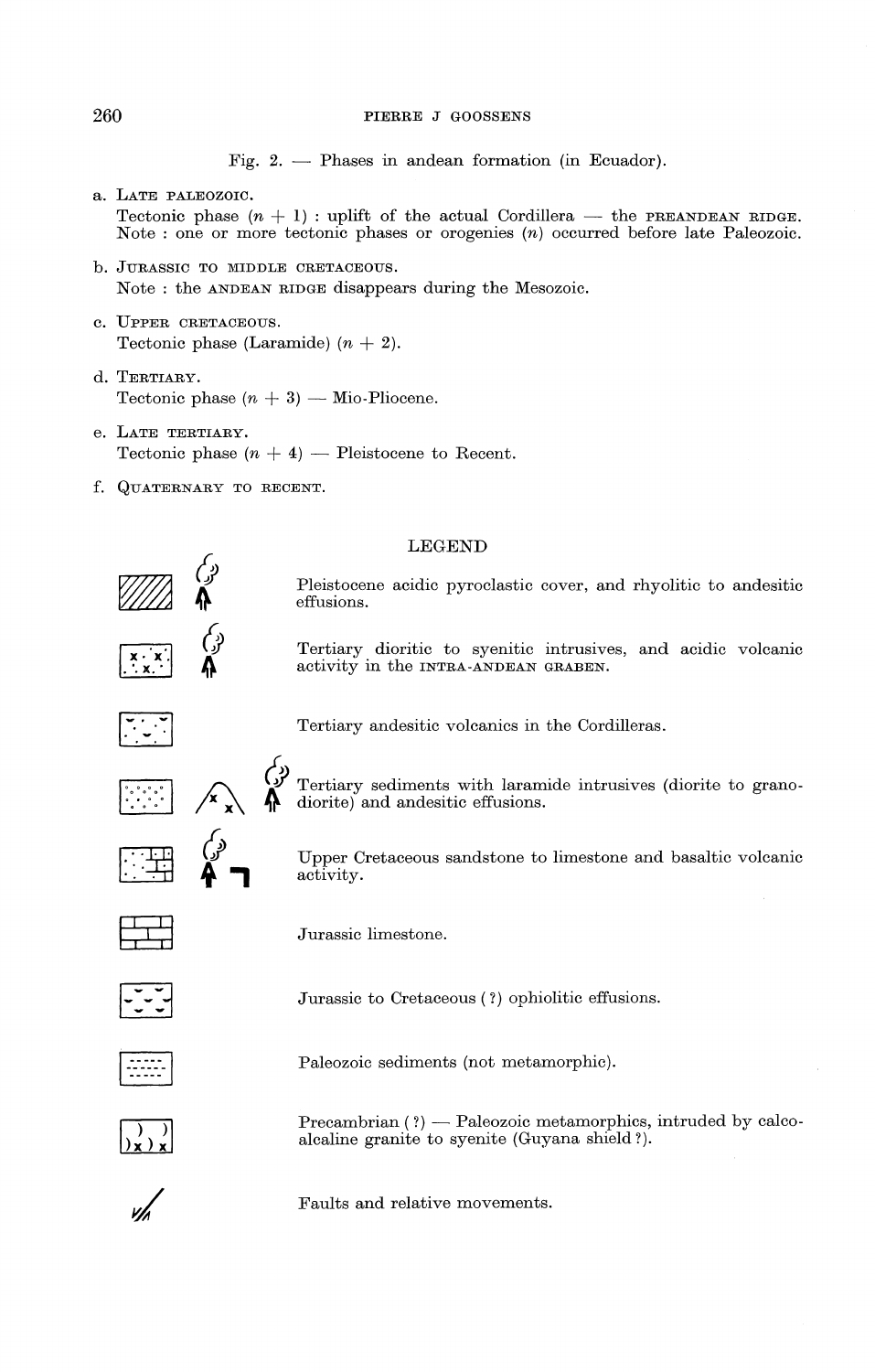# 260 PIERRE J GOOSSENS

Fig.  $2.$  - Phases in andean formation (in Ecuador).

- a. LATE PALEOZOIC. Tectonic phase  $(n + 1)$ : uplift of the actual Cordillera — the PREANDEAN RIDGE. Note : one or more tectonic phases or orogenies (n) occurred before late Paleozoic.
- b. JURASSIC TO MIDDLE CRETACEOUS. Note : the ANDEAN RIDGE disappears during the Mesozoic.
- C. UPPER CRETACEOUS. Tectonic phase (Laramide)  $(n + 2)$ .
- d. TERTIARY. Tectonic phase  $(n + 3)$  — Mio-Pliocene.
- e. LATE TERTIARY. Tectonic phase  $(n + 4)$  - Pleistocene to Recent.
- f. QUATERNARY TO RECENT.

### LEGEND

Pleistocene acidic pyroclastic cover, and rhyolitic to andesitic effusions.

Tertiary dioritic to syenitic intrusives, and acidic volcanic activity in the INTRA-ANDEAN GRABEN.



 $x \cdot x$  $\mathbf{L}$   $\mathbf{x}$ .  $\mathbf{L}$ 

Tertiary andesitic volcanics in the Cordilleras .

 $\begin{array}{cc} \mathbb{C}^1 & \mathbb{C}^1 \ & \mathbb{C}^1 & \mathbb{C}^1 \end{array}$ x A x 'II' Tertiary sediments with laramide intrusives (diorite to granodiorite) and andesitic effusions.

> Upper Cretaceous sandstone to limestone and basaltic volcanic activity.



«)<br>^ ⊞ L±:d

(پ<sub>ر</sub>) {*و}*<br>ר 1

Jurassic limestone.



Jurassic to Cretaceous ( ?) ophiolitic effusions.



Paleozoic sediments (not metamorphic).



 $Precambrain$  (?)  $-$  Paleozoic metamorphics, intruded by calcoalcaline granite to syenite (Guyana shield?).

Faults and relative movements.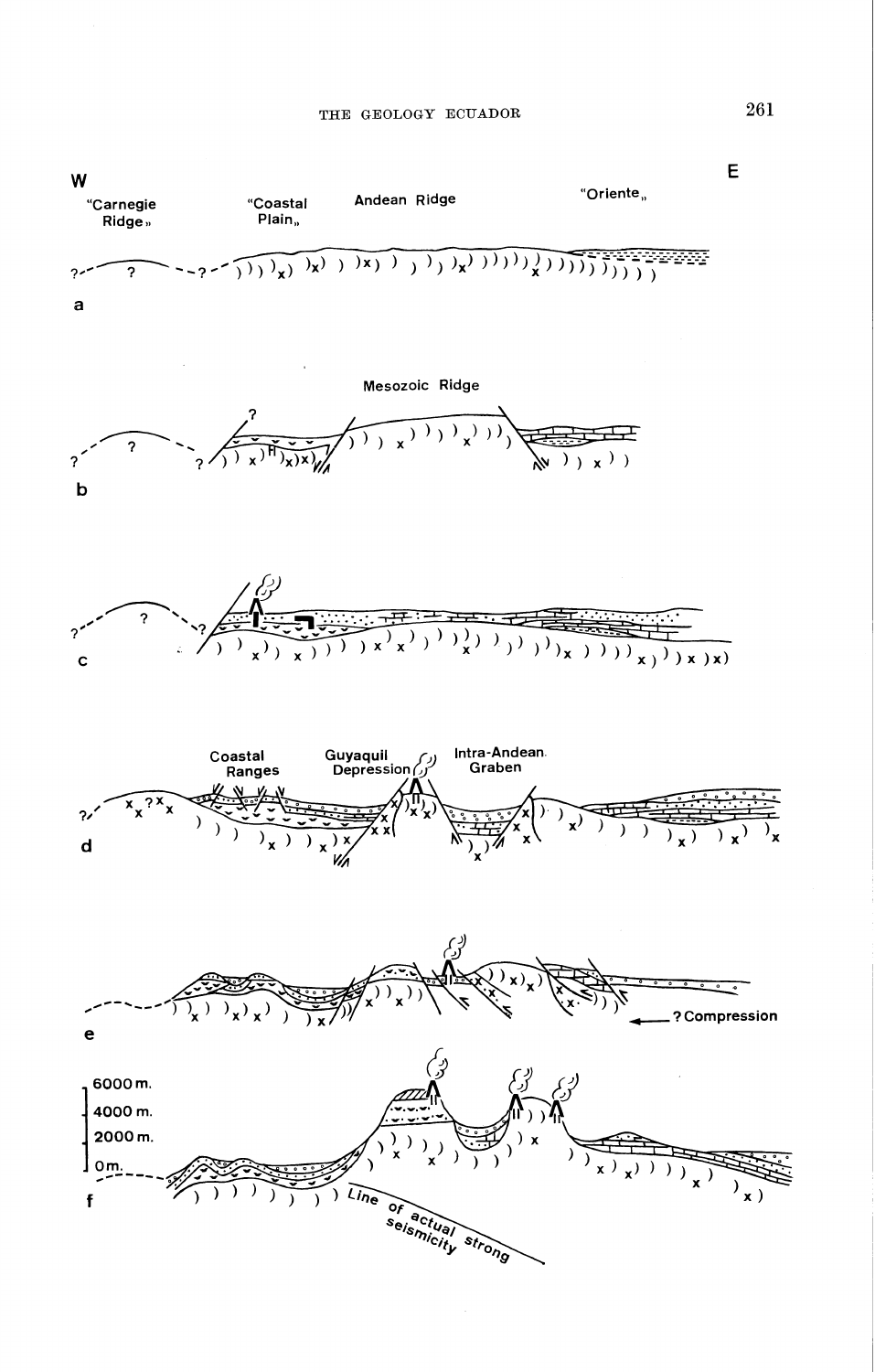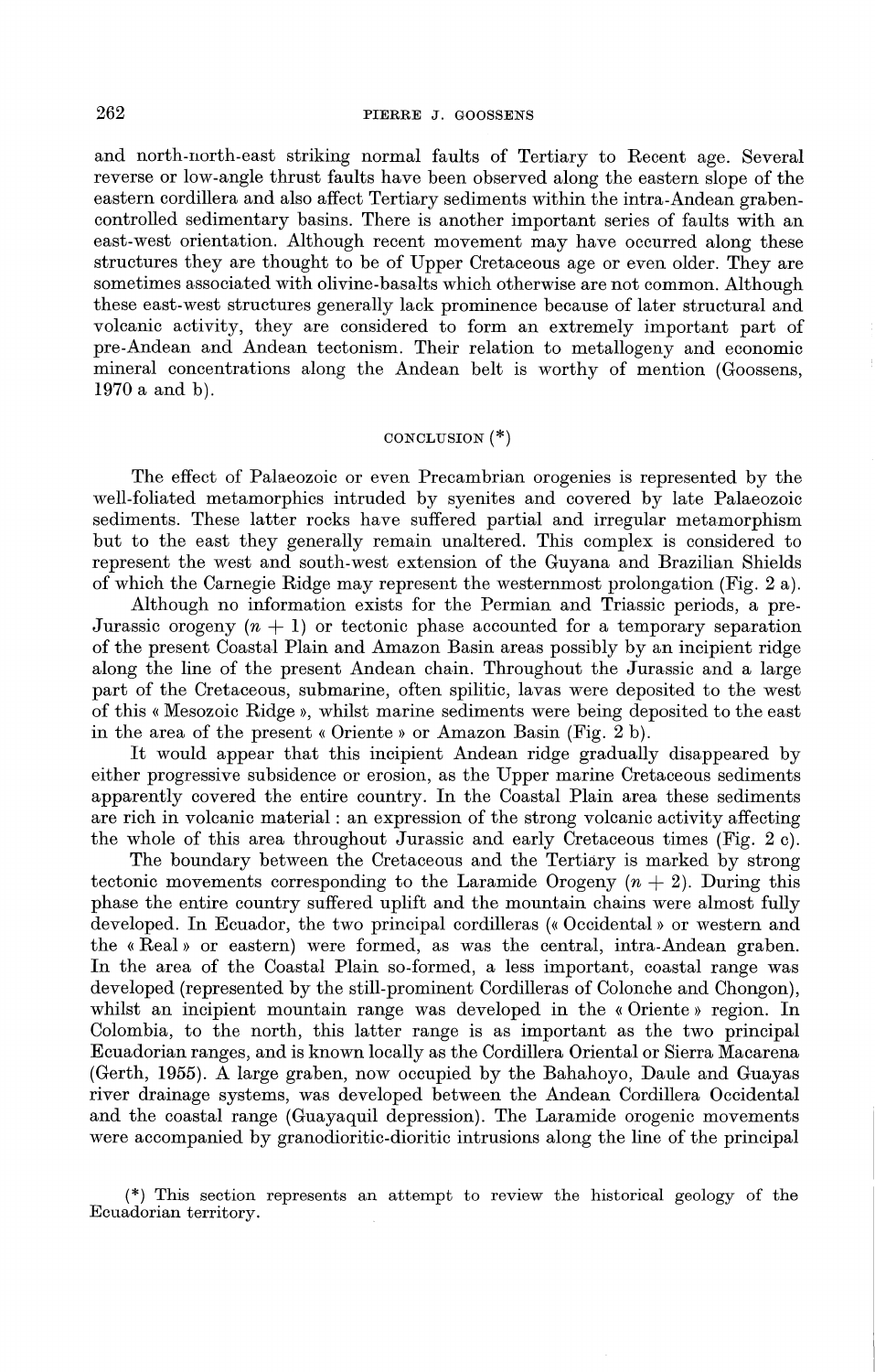and north-north-east striking normal faults of Tertiary to Recent age. Several reverse or low-angle thrust faults have been observed along the eastern slope of the eastern cordillera and also affect Tertiary sediments within the intra-Andean grabencontrolled sedimentary basins. There is another important series of faults with an east-west orientation. Although recent movement may have occurred along these structures they are thought to be of Upper Cretaceous age or even older. They are sometimes associated with olivine-basalts which otherwise are not common. Although these east-west structures generally lack prominence because of later structural and volcanic activity, they are considered to form an extremely important part of pre-Andean and Andean tectonism. Their relation to metallogeny and economic mineral concentrations along the Andean belt is worthy of mention (Goossens, 1970 a and b).

### CONCLUSION $(*)$

The effect of Palaeozoic or even Precambrian orogenies is represented by the well-foliated metamorphics intruded by syenites and covered by late Palaeozoic sediments. These latter rocks have suffered partial and irregular metamorphism but to the east they generally remain unaltered. This complex is considered to represent the west and south-west extension of the Guyana and Brazilian Shields of which the Carnegie Ridge may represent the westernmost prolongation (Fig. 2 a).

Although no information exists for the Permian and Triassic periods, a pre-Jurassic orogeny  $(n + 1)$  or tectonic phase accounted for a temporary separation of the present Coastal Plain and Amazon Basin areas possibly by an incipient ridge along the line of the present Andean chain. Throughout the Jurassic and a large part of the Cretaceous, submarine, often spilitic, lavas were deposited to the west of this« Mesozoic Ridge», whilst marine sediments were being deposited to the east in the area of the present« Oriente » or Amazon Basin (Fig. 2 b).

It would appear that this incipient Andean ridge gradually disappeared by either progressive subsidence or erosion, as the Upper marine Cretaceous sediments apparently covered the entire country. In the Coastal Plain area these sediments are rich in volcanic material : an expression of the strong volcanic activity affecting the whole of this area throughout Jurassic and early Cretaceous times (Fig. 2 c).

The boundary between the Cretaceous and the Tertiary is marked by strong tectonic movements corresponding to the Laramide Orogeny  $(n + 2)$ . During this phase the entire country suffered uplift and the mountain chains were almost fully developed. In Ecuador, the two principal cordilleras («Occidental» or western and the «Real» or eastern) were formed, as was the central, intra-Andean graben. In the area of the Coastal Plain so-formed, a less important, coastal range was developed (represented by the still-prominent Cordilleras of Colonche and Chongon), whilst an incipient mountain range was developed in the « Oriente » region. In Colombia, to the north, this latter range is as important as the two principal Ecuadorian ranges, and is known locally as the Cordillera Oriental or Sierra Macarena (Gerth, 1955). A large graben, now occupied by the Bahahoyo, Daule and Guayas river drainage systems, was developed between the Andean Cordillera Occidental and the coastal range (Guayaquil depression). The Laramide orogenic movements were accompanied by granodioritic-dioritic intrusions along the line of the principal

(\*) This section represents an attempt to review the historical geology of the Ecuadorian territory.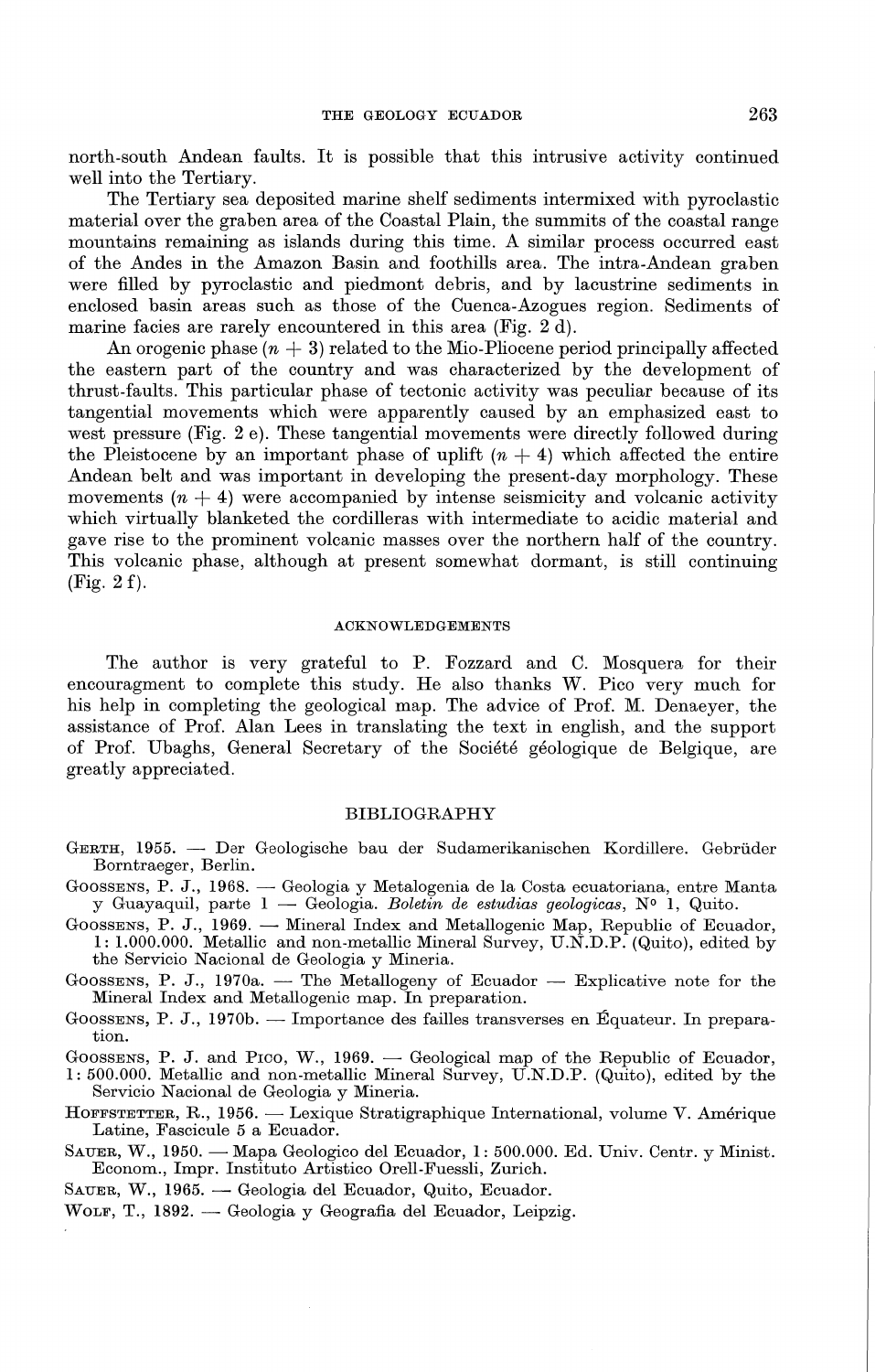north-south Andean faults. It is possible that this intrusive activity continued well into the Tertiary.

The Tertiary sea deposited marine shelf sediments intermixed with pyroclastic material over the graben area of the Coastal Plain, the summits of the coastal range mountains remaining as islands during this time. A similar process occurred east of the Andes in the Amazon Basin and foothills area. The intra-Andean graben were filled by pyroclastic and piedmont debris, and by lacustrine sediments in enclosed basin areas such as those of the Cuenca-Azogues region. Sediments of marine facies are rarely encountered in this area (Fig. 2 d).

An orogenic phase  $(n + 3)$  related to the Mio-Pliocene period principally affected the eastern part of the country and was characterized by the development of thrust-faults. This particular phase of tectonic activity was peculiar because of its tangential movements which were apparently caused by an emphasized east to west pressure (Fig. 2 e). These tangential movements were directly followed during the Pleistocene by an important phase of uplift  $(n + 4)$  which affected the entire Andean belt and was important in developing the present-day morphology. These movements  $(n + 4)$  were accompanied by intense seismicity and volcanic activity which virtually blanketed the cordilleras with intermediate to acidic material and gave rise to the prominent volcanic masses over the northern half of the country. This volcanic phase, although at present somewhat dormant, is still continuing (Fig. 2f).

### ACKNOWLEDGEMENTS

The author is very grateful to P. Fozzard and C. Mosquera for their encouragment to complete this study. He also thanks W. Pico very much for his help in completing the geological map. The advice of Prof. M. Denaeyer, the assistance of Prof. Alan Lees in translating the text in english, and the support of Prof. Ubaghs, General Secretary of the Societe geologique de Belgique, are greatly appreciated.

## BIBLIOGRAPHY

- GERTH, 1955. Der Geologische bau der Sudamerikanischen Kordillere. Gebriider Borntraeger, Berlin.
- GOOSSENS, P. J., 1968. Geologia y Metalogenia de la Costa ecuatoriana, entre Manta y Guayaquil, parte 1 - Geologia. *Boletin de estudias geologicas,* N° 1, Quito.
- GOOSSENS, P. J., 1969. Mineral Index and Metallogenic Map, Republic of Ecuador, 1: 1.000.000. Metallic and non-metallic Mineral Survey, U.N.D.P. (Quito}, edited by the Servicio Nacional de Geologia y Mineria.
- GOOSSENS, P. J., 1970a. The Metallogeny of Ecuador Explicative note for the Mineral Index and Metallogenic map. In preparation.
- GOOSSENS, P. J., 1970b. Importance des failles transverses en Équateur. In preparation.
- GOOSSENS, P. J. and Proo, W., 1969.  $\longrightarrow$  Geological map of the Republic of Ecuador,
- 1: 500.000. Metallic and non-metallic Mineral Survey, U.N.D.P. (Quito}, edited by the Servicio Nacional de Geologia y Mineria.
- HOFFSTETTER, R., 1956. Lexique Stratigraphique International, volume V. Amérique Latine, Fascicule 5 a Ecuador.
- SAUER, W., 1950. Mapa Geologico del Ecuador, 1: 500.000. Ed. Univ. Centr. y Minist. Econom., Impr. Instituto Artistico Orell-Fuessli, Zurich.
- SAUER, W., 1965. Geologia del Ecuador, Quito, Ecuador.
- WOLF, T., 1892. Geologia y Geografia del Ecuador, Leipzig.